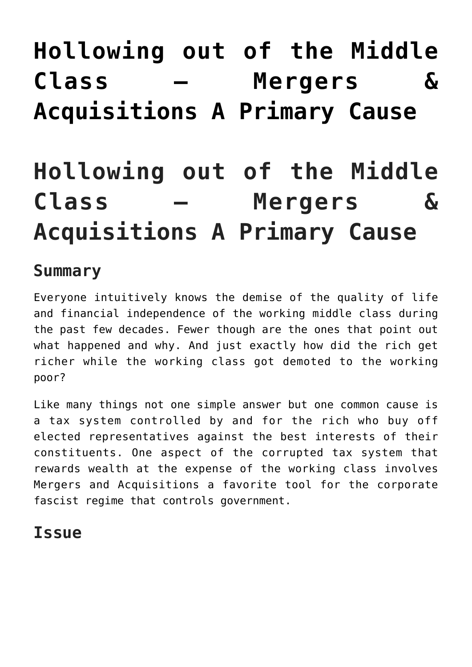# **[Hollowing out of the Middle](https://freedomists.com/hollowing-out-of-the-middle-class-mergers-acquisitions-a-primary-cause/) [Class – Mergers &](https://freedomists.com/hollowing-out-of-the-middle-class-mergers-acquisitions-a-primary-cause/) [Acquisitions A Primary Cause](https://freedomists.com/hollowing-out-of-the-middle-class-mergers-acquisitions-a-primary-cause/)**

# **Hollowing out of the Middle Class – Mergers & Acquisitions A Primary Cause**

#### **Summary**

Everyone intuitively knows the demise of the quality of life and financial independence of the working middle class during the past few decades. Fewer though are the ones that point out what happened and why. And just exactly how did the rich get richer while the working class got demoted to the working poor?

Like many things not one simple answer but one common cause is a tax system controlled by and for the rich who buy off elected representatives against the best interests of their constituents. One aspect of the corrupted tax system that rewards wealth at the expense of the working class involves Mergers and Acquisitions a favorite tool for the corporate fascist regime that controls government.

### **Issue**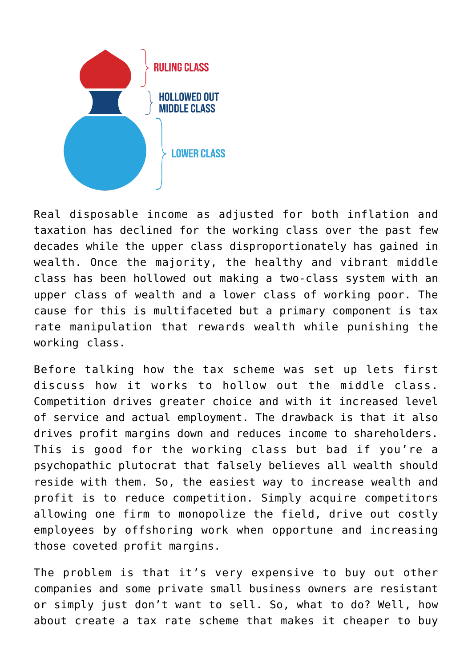

Real disposable income as adjusted for both inflation and taxation has declined for the working class over the past few decades while the upper class disproportionately has gained in wealth. Once the majority, the healthy and vibrant middle class has been hollowed out making a two-class system with an upper class of wealth and a lower class of working poor. The cause for this is multifaceted but a primary component is tax rate manipulation that rewards wealth while punishing the working class.

Before talking how the tax scheme was set up lets first discuss how it works to hollow out the middle class. Competition drives greater choice and with it increased level of service and actual employment. The drawback is that it also drives profit margins down and reduces income to shareholders. This is good for the working class but bad if you're a psychopathic plutocrat that falsely believes all wealth should reside with them. So, the easiest way to increase wealth and profit is to reduce competition. Simply acquire competitors allowing one firm to monopolize the field, drive out costly employees by offshoring work when opportune and increasing those coveted profit margins.

The problem is that it's very expensive to buy out other companies and some private small business owners are resistant or simply just don't want to sell. So, what to do? Well, how about create a tax rate scheme that makes it cheaper to buy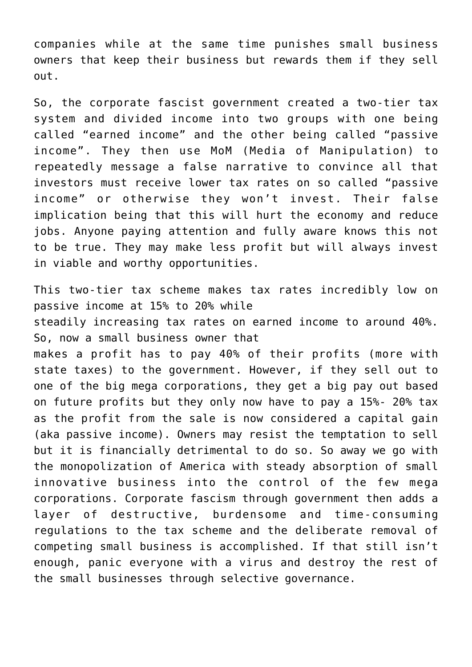companies while at the same time punishes small business owners that keep their business but rewards them if they sell out.

So, the corporate fascist government created a two-tier tax system and divided income into two groups with one being called "earned income" and the other being called "passive income". They then use MoM (Media of Manipulation) to repeatedly message a false narrative to convince all that investors must receive lower tax rates on so called "passive income" or otherwise they won't invest. Their false implication being that this will hurt the economy and reduce jobs. Anyone paying attention and fully aware knows this not to be true. They may make less profit but will always invest in viable and worthy opportunities.

This two-tier tax scheme makes tax rates incredibly low on passive income at 15% to 20% while steadily increasing tax rates on earned income to around 40%. So, now a small business owner that makes a profit has to pay 40% of their profits (more with state taxes) to the government. However, if they sell out to one of the big mega corporations, they get a big pay out based on future profits but they only now have to pay a 15%- 20% tax as the profit from the sale is now considered a capital gain (aka passive income). Owners may resist the temptation to sell but it is financially detrimental to do so. So away we go with the monopolization of America with steady absorption of small innovative business into the control of the few mega corporations. Corporate fascism through government then adds a layer of destructive, burdensome and time-consuming regulations to the tax scheme and the deliberate removal of competing small business is accomplished. If that still isn't enough, panic everyone with a virus and destroy the rest of the small businesses through selective governance.